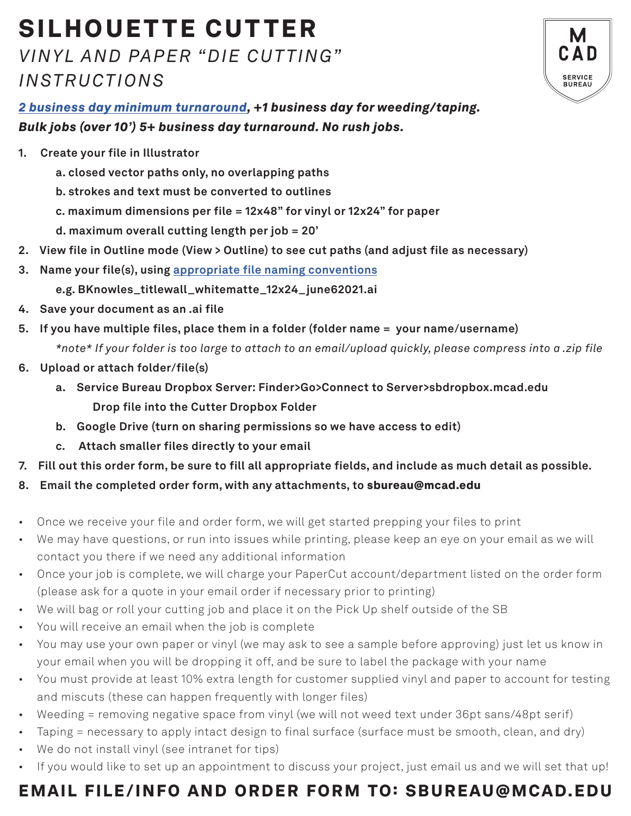# SILHOUETTE CUTTER *VINYL AND PAPER "DIE CUTTING"*

## *INSTRUCTIONS*



*2 business day minimum turnaround, +1 business day for weeding/taping. Bulk jobs (over 10') 5+ business day turnaround. No rush jobs.* 

- **1. Create your file in Illustrator**
	- **a. closed vector paths only, no overlapping paths**
	- **b. strokes and text must be converted to outlines**
	- **c. maximum dimensions per file = 12x48" for vinyl or 12x24" for paper**
	- **d. maximum overall cutting length per job = 20'**
- **2. View file in Outline mode (View > Outline) to see cut paths (and adjust file as necessary)**
- **3. Name your file(s), using appropriate file naming conventions**
	- **e.g. BKnowles\_titlewall\_whitematte\_12x24\_june62021.ai**
- **4. Save your document as an .ai file**
- **5. If you have multiple files, place them in a folder (folder name = your name/username)** *\*note\* If your folder is too large to attach to an email/upload quickly, please compress into a .zip file*
- **6. Upload or attach folder/file(s)** 
	- **a. Service Bureau Dropbox Server: Finder>Go>Connect to Server>sbdropbox.mcad.edu Drop file into the Cutter Dropbox Folder**
	- **b. Google Drive (turn on sharing permissions so we have access to edit)**
	- **c. Attach smaller files directly to your email**
- **7. Fill out this order form, be sure to fill all appropriate fields, and include as much detail as possible.**
- **8. Email the completed order form, with any attachments, to** sbureau@mcad.edu
- Once we receive your file and order form, we will get started prepping your files to print
- We may have questions, or run into issues while printing, please keep an eye on your email as we will contact you there if we need any additional information
- Once your job is complete, we will charge your PaperCut account/department listed on the order form (please ask for a quote in your email order if necessary prior to printing)
- We will bag or roll your cutting job and place it on the Pick Up shelf outside of the SB
- You will receive an email when the job is complete
- You may use your own paper or vinyl (we may ask to see a sample before approving) just let us know in your email when you will be dropping it off, and be sure to label the package with your name
- You must provide at least 10% extra length for customer supplied vinyl and paper to account for testing and miscuts (these can happen frequently with longer files)
- Weeding = removing negative space from vinyl (we will not weed text under 36pt sans/48pt serif)
- Taping = necessary to apply intact design to final surface (surface must be smooth, clean, and dry)
- We do not install vinyl (see intranet for tips)
- If you would like to set up an appointment to discuss your project, just email us and we will set that up!

## EMAIL FILE/INFO AND ORDER FORM TO: SBUREAU@MCAD.EDU